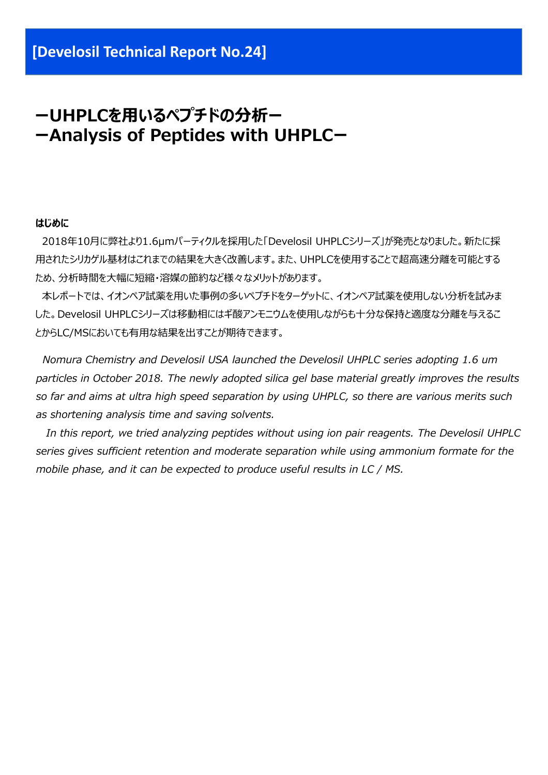# **ーUHPLCを⽤いるペプチドの分析ー ーAnalysis of Peptides with UHPLCー**

## **はじめに**

2018年10月に弊社より1.6µmパーティクルを採用した「Develosil UHPLCシリーズ」が発売となりました。新たに採 用されたシリカゲル基材はこれまでの結果を大きく改善します。また、UHPLCを使用することで超高速分離を可能とする ため、分析時間を大幅に短縮・溶媒の節約など様々なメリットがあります。

本レポートでは、イオンペア試薬を用いた事例の多いペプチドをターゲットに、イオンペア試薬を使用しない分析を試みま した。Develosil UHPLCシリーズは移動相にはギ酸アンモニウムを使用しながらも十分な保持と適度な分離を与えるこ とからLC/MSにおいても有⽤な結果を出すことが期待できます。

*Nomura Chemistry and Develosil USA launched the Develosil UHPLC series adopting 1.6 um particles in October 2018. The newly adopted silica gel base material greatly improves the results so far and aims at ultra high speed separation by using UHPLC, so there are various merits such as shortening analysis time and saving solvents.*

*In this report, we tried analyzing peptides without using ion pair reagents. The Develosil UHPLC series gives sufficient retention and moderate separation while using ammonium formate for the mobile phase, and it can be expected to produce useful results in LC / MS.*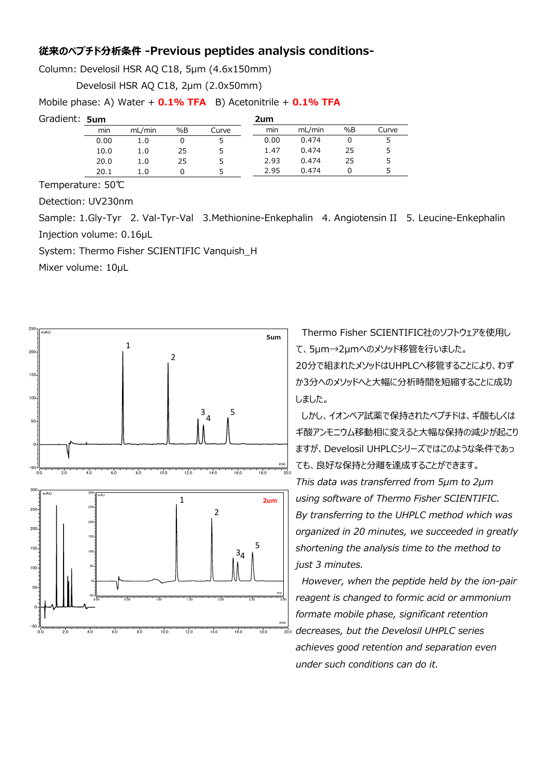# **従来のペプチド分析条件 -Previous peptides analysis conditions-**

Column: Develosil HSR AQ C18, 5µm (4.6x150mm)

Develosil HSR AQ C18, 2µm (2.0x50mm)

Mobile phase: A) Water + **0.1% TFA** B) Acetonitrile + **0.1% TFA**

Gradient: **5um**

| 5um  |        |    |       | 2um  |        |    |       |
|------|--------|----|-------|------|--------|----|-------|
| min  | mL/min | %B | Curve | min  | mL/min | %B | Curve |
| 0.00 | 1.0    |    |       | 0.00 | 0.474  |    |       |
| 10.0 | 1.0    | 25 | 5     | 1.47 | 0.474  | 25 |       |
| 20.0 | 1.0    | 25 |       | 2.93 | 0.474  | 25 |       |
| 20.1 | 1.0    |    |       | 2.95 | 0.474  |    |       |

Temperature: 50℃

Detection: UV230nm

Sample: 1.Gly-Tyr 2. Val-Tyr-Val 3.Methionine-Enkephalin 4. Angiotensin II 5. Leucine-Enkephalin Injection volume: 0.16µL

System: Thermo Fisher SCIENTIFIC Vanquish\_H

Mixer volume: 10µL



Thermo Fisher SCIENTIFIC社のソフトウェアを使用し て、5µm→2µmへのメソッド移管を⾏いました。 20分で組まれたメソッドはUHPLCへ移管することにより、わず か3分へのメソッドへと⼤幅に分析時間を短縮することに成功 しました。

しかし、イオンペア試薬で保持されたペプチドは、ギ酸もしくは ギ酸アンモニウム移動相に変えると⼤幅な保持の減少が起こり ますが、Develosil UHPLCシリーズではこのような条件であっ ても、良好な保持と分離を達成することができます。

*This data was transferred from 5μm to 2μm using software of Thermo Fisher SCIENTIFIC. By transferring to the UHPLC method which was organized in 20 minutes, we succeeded in greatly shortening the analysis time to the method to just 3 minutes.*

*However, when the peptide held by the ion-pair reagent is changed to formic acid or ammonium formate mobile phase, significant retention decreases, but the Develosil UHPLC series achieves good retention and separation even under such conditions can do it.*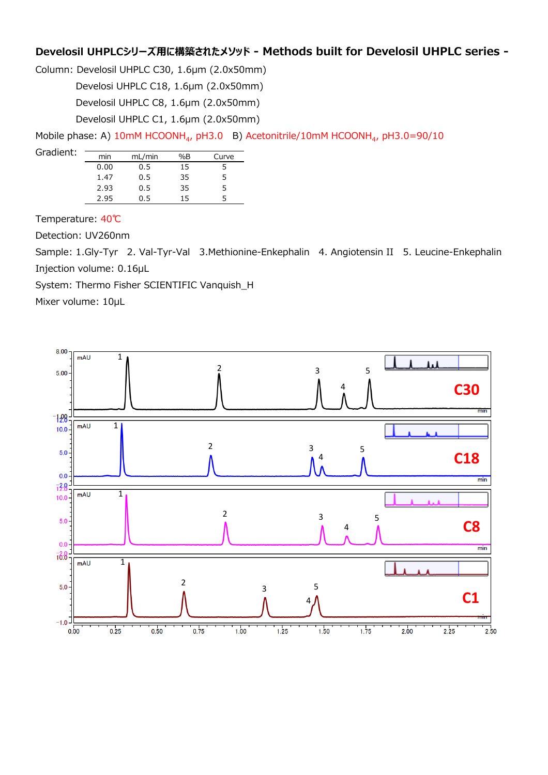# **Develosil UHPLCシリーズ⽤に構築されたメソッド - Methods built for Develosil UHPLC series -**

Column: Develosil UHPLC C30, 1.6µm (2.0x50mm)

Develosi UHPLC C18, 1.6µm (2.0x50mm)

Develosil UHPLC C8, 1.6µm (2.0x50mm)

Develosil UHPLC C1, 1.6µm (2.0x50mm)

Mobile phase: A) 10mM HCOONH<sub>4</sub>, pH3.0 B) Acetonitrile/10mM HCOONH<sub>4</sub>, pH3.0=90/10

| Gradient: | min  | mL/min | %B | Curve |
|-----------|------|--------|----|-------|
|           | 0.00 | 0.5    | 15 |       |
|           | 1.47 | 0.5    | 35 | 5     |
|           | 2.93 | 0.5    | 35 | 5     |
|           | 2.95 | 0.5    | 15 |       |

Temperature: 40℃

Detection: UV260nm

Sample: 1.Gly-Tyr 2. Val-Tyr-Val 3.Methionine-Enkephalin 4. Angiotensin II 5. Leucine-Enkephalin Injection volume: 0.16µL

System: Thermo Fisher SCIENTIFIC Vanquish\_H

Mixer volume: 10µL